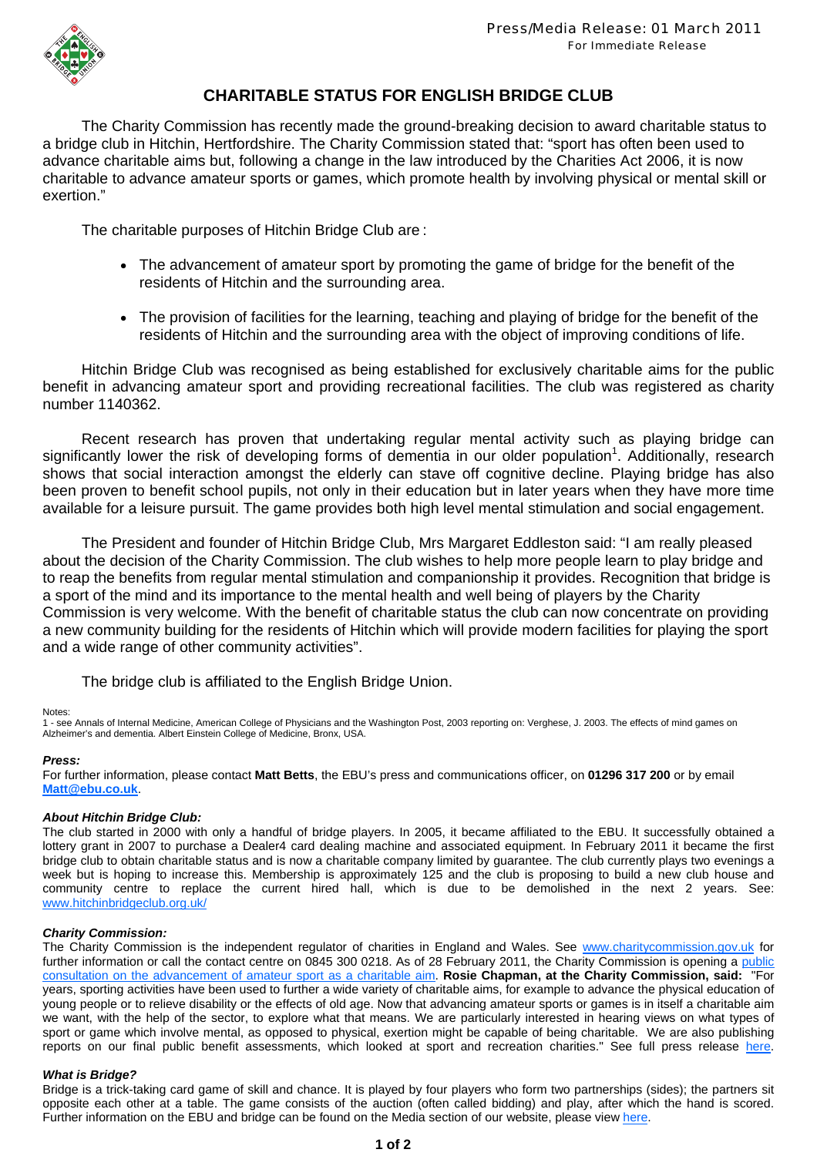

# **CHARITABLE STATUS FOR ENGLISH BRIDGE CLUB**

 The Charity Commission has recently made the ground-breaking decision to award charitable status to a bridge club in Hitchin, Hertfordshire. The Charity Commission stated that: "sport has often been used to advance charitable aims but, following a change in the law introduced by the Charities Act 2006, it is now charitable to advance amateur sports or games, which promote health by involving physical or mental skill or exertion."

The charitable purposes of Hitchin Bridge Club are :

- The advancement of amateur sport by promoting the game of bridge for the benefit of the residents of Hitchin and the surrounding area.
- The provision of facilities for the learning, teaching and playing of bridge for the benefit of the residents of Hitchin and the surrounding area with the object of improving conditions of life.

 Hitchin Bridge Club was recognised as being established for exclusively charitable aims for the public benefit in advancing amateur sport and providing recreational facilities. The club was registered as charity number 1140362.

 Recent research has proven that undertaking regular mental activity such as playing bridge can significantly lower the risk of developing forms of dementia in our older population<sup>1</sup>. Additionally, research shows that social interaction amongst the elderly can stave off cognitive decline. Playing bridge has also been proven to benefit school pupils, not only in their education but in later years when they have more time available for a leisure pursuit. The game provides both high level mental stimulation and social engagement.

 The President and founder of Hitchin Bridge Club, Mrs Margaret Eddleston said: "I am really pleased about the decision of the Charity Commission. The club wishes to help more people learn to play bridge and to reap the benefits from regular mental stimulation and companionship it provides. Recognition that bridge is a sport of the mind and its importance to the mental health and well being of players by the Charity Commission is very welcome. With the benefit of charitable status the club can now concentrate on providing a new community building for the residents of Hitchin which will provide modern facilities for playing the sport and a wide range of other community activities".

The bridge club is affiliated to the English Bridge Union.

#### Notes:

1 - see Annals of Internal Medicine, American College of Physicians and the Washington Post, 2003 reporting on: Verghese, J. 2003. The effects of mind games on Alzheimer's and dementia. Albert Einstein College of Medicine, Bronx, USA.

# *Press:*

For further information, please contact **Matt Betts**, the EBU's press and communications officer, on **01296 317 200** or by email **Matt@ebu.co.uk**.

#### *About Hitchin Bridge Club:*

The club started in 2000 with only a handful of bridge players. In 2005, it became affiliated to the EBU. It successfully obtained a lottery grant in 2007 to purchase a Dealer4 card dealing machine and associated equipment. In February 2011 it became the first bridge club to obtain charitable status and is now a charitable company limited by guarantee. The club currently plays two evenings a week but is hoping to increase this. Membership is approximately 125 and the club is proposing to build a new club house and community centre to replace the current hired hall, which is due to be demolished in the next 2 years. See: www.hitchinbridgeclub.org.uk/

### *Charity Commission:*

The Charity Commission is the independent regulator of charities in England and Wales. See www.charitycommission.gov.uk for further information or call the contact centre on 0845 300 0218. As of 28 February 2011, the Charity Commission is opening a public consultation on the advancement of amateur sport as a charitable aim. **Rosie Chapman, at the Charity Commission, said:** "For years, sporting activities have been used to further a wide variety of charitable aims, for example to advance the physical education of [young people or to relieve disability or the effects of old age. Now that adv](http://www.charitycommission.gov.uk/RSS/News/pr_amateur_sport.aspx)ancing amateur sports or games is in itself a charitable aim we want, with the help of the sector, to explore what that means. We are particularly interested in hearing views on what types of sport or game which involve mental, as opposed to physical, exertion might be capable of being charitable. We are also publishing reports on our final public benefit assessments, which looked at sport and recreation charities." See full press release here.

# *What is Bridge?*

Bridge is a trick-taking card game of skill and chance. It is played by four players who form two partnerships (sides); the partners sit opposite each other at a table. The game consists of the auction (often called bidding) and play, after which the hand is scored. Further information on the EBU and bridge can be found on the Media section of our website, please view here.